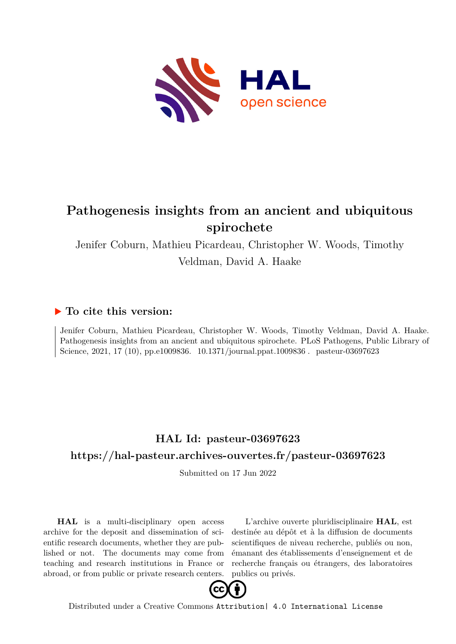

# **Pathogenesis insights from an ancient and ubiquitous spirochete**

Jenifer Coburn, Mathieu Picardeau, Christopher W. Woods, Timothy Veldman, David A. Haake

## **To cite this version:**

Jenifer Coburn, Mathieu Picardeau, Christopher W. Woods, Timothy Veldman, David A. Haake. Pathogenesis insights from an ancient and ubiquitous spirochete. PLoS Pathogens, Public Library of Science, 2021, 17 (10), pp.e1009836. 10.1371/journal.ppat.1009836. pasteur-03697623

## **HAL Id: pasteur-03697623 <https://hal-pasteur.archives-ouvertes.fr/pasteur-03697623>**

Submitted on 17 Jun 2022

**HAL** is a multi-disciplinary open access archive for the deposit and dissemination of scientific research documents, whether they are published or not. The documents may come from teaching and research institutions in France or abroad, or from public or private research centers.

L'archive ouverte pluridisciplinaire **HAL**, est destinée au dépôt et à la diffusion de documents scientifiques de niveau recherche, publiés ou non, émanant des établissements d'enseignement et de recherche français ou étrangers, des laboratoires publics ou privés.



Distributed under a Creative Commons [Attribution| 4.0 International License](http://creativecommons.org/licenses/by/4.0/)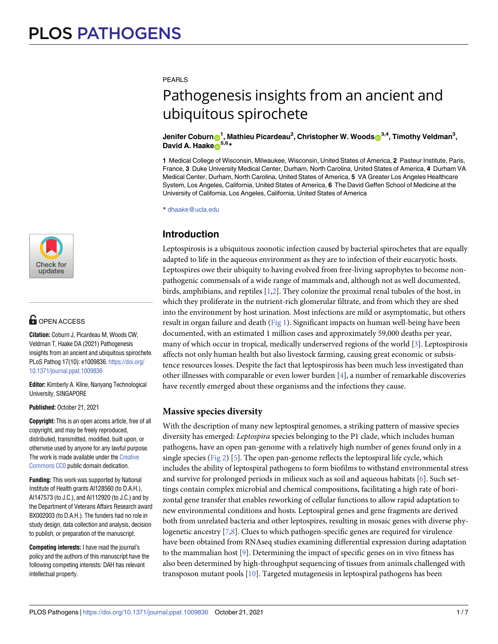[a1111111111](http://crossmark.crossref.org/dialog/?doi=10.1371/journal.ppat.1009836&domain=pdf&date_stamp=2021-10-21) [a1111111111](http://crossmark.crossref.org/dialog/?doi=10.1371/journal.ppat.1009836&domain=pdf&date_stamp=2021-10-21) [a1111111111](http://crossmark.crossref.org/dialog/?doi=10.1371/journal.ppat.1009836&domain=pdf&date_stamp=2021-10-21) Check for undates

## **OPEN ACCESS**

**Citation:** Coburn J, Picardeau M, Woods CW, Veldman T, Haake DA (2021) Pathogenesis insights from an ancient and ubiquitous spirochete. PLoS Pathog 17(10): e1009836. [https://doi.org/](https://doi.org/10.1371/journal.ppat.1009836) [10.1371/journal.ppat.1009836](https://doi.org/10.1371/journal.ppat.1009836)

**Editor:** Kimberly A. Kline, Nanyang Technological University, SINGAPORE

**Published:** October 21, 2021

**Copyright:** This is an open access article, free of all copyright, and may be freely reproduced, distributed, transmitted, modified, built upon, or otherwise used by anyone for any lawful purpose. The work is made available under the [Creative](https://creativecommons.org/publicdomain/zero/1.0/) [Commons](https://creativecommons.org/publicdomain/zero/1.0/) CC0 public domain dedication.

**Funding:** This work was supported by National Institute of Health grants AI128560 (to D.A.H.), AI147573 (to J.C.), and AI112920 (to J.C.) and by the Department of Veterans Affairs Research award BX002003 (to D.A.H.). The funders had no role in study design, data collection and analysis, decision to publish, or preparation of the manuscript.

**Competing interests:** I have read the journal's policy and the authors of this manuscript have the following competing interests: DAH has relevant intellectual property.

PFARLS

# Pathogenesis insights from an ancient and ubiquitous spirochete

#### $\delta^{3,4}$ , **Timothy**  $\delta^{1}$ , <code>Mathieu Picardeau $^2$ , Christopher W. Woods $\delta^{3,4}$ , Timothy Veldman $^3$ ,</code> **David A. Haake**<sup>5,6</sup>**\***

**1** Medical College of Wisconsin, Milwaukee, Wisconsin, United States of America, **2** Pasteur Institute, Paris, France, **3** Duke University Medical Center, Durham, North Carolina, United States of America, **4** Durham VA Medical Center, Durham, North Carolina, United States of America, **5** VA Greater Los Angeles Healthcare System, Los Angeles, California, United States of America, **6** The David Geffen School of Medicine at the University of California, Los Angeles, California, United States of America

\* dhaake@ucla.edu

### **Introduction**

Leptospirosis is a ubiquitous zoonotic infection caused by bacterial spirochetes that are equally adapted to life in the aqueous environment as they are to infection of their eucaryotic hosts. Leptospires owe their ubiquity to having evolved from free-living saprophytes to become nonpathogenic commensals of a wide range of mammals and, although not as well documented, birds, amphibians, and reptiles [1,2]. They colonize the proximal renal tubules of the host, in which they proliferate in the nutrient-rich glomerular filtrate, and from which they are shed into the environment by host urination. Most infections are mild or asymptomatic, but others result in organ failure and death (Fig 1). Significant impacts on human well-being have been documented, with an estimated 1 million cases and approximately 59,000 deaths per year, many of which occur in tropical, medically underserved regions of the world [3]. Leptospirosis affects not only human health but also livestock farming, causing great economic or subsistence resources losses. Despite the fact that leptospirosis has been much less investigated than other illnesses with comparable or even lower burden [4], a number of remarkable discoveries have recently emerged about these organisms and the infections they cause.

#### **Massive species diversity**

With the description of many new leptospiral genomes, a striking pattern of massive species diversity has emerged: *Leptospira* species belonging to the P1 clade, which includes human pathogens, have an open pan-genome with a relatively high number of genes found only in a single species ( $Fig 2$ ) [5]. The open pan-genome reflects the leptospiral life cycle, which includes the ability of leptospiral pathogens to form biofilms to withstand environmental stress and survive for prolonged periods in milieux such as soil and aqueous habitats [6]. Such settings contain complex microbial and chemical compositions, facilitating a high rate of horizontal gene transfer that enables reworking of cellular functions to allow rapid adaptation to new environmental conditions and hosts. Leptospiral genes and gene fragments are derived both from unrelated bacteria and other leptospires, resulting in mosaic genes with diverse phylogenetic ancestry [7,8]. Clues to which pathogen-specific genes are required for virulence have been obtained from RNAseq studies examining differential expression during adaptation to the mammalian host [9]. Determining the impact of specific genes on in vivo fitness has also been determined by high-throughput sequencing of tissues from animals challenged with transposon mutant pools [10]. Targeted mutagenesis in leptospiral pathogens has been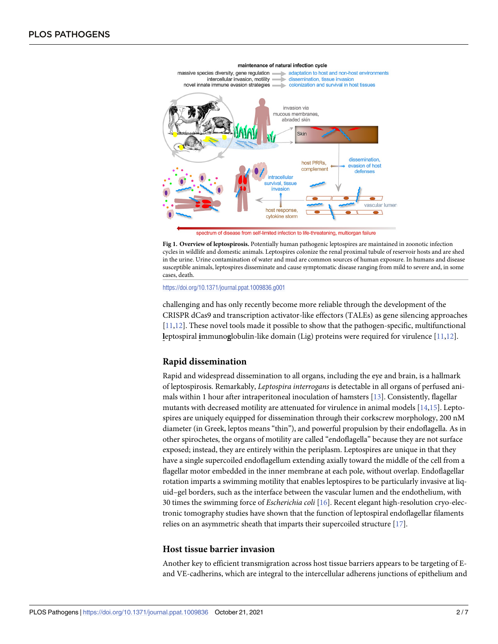

maintenance of natural infection cycle

spectrum of disease from self-limited infection to life-threatening, multiorgan failure

**Fig 1. Overview of leptospirosis.** Potentially human pathogenic leptospires are maintained in zoonotic infection cycles in wildlife and domestic animals. Leptospires colonize the renal proximal tubule of reservoir hosts and are shed in the urine. Urine contamination of water and mud are common sources of human exposure. In humans and disease susceptible animals, leptospires disseminate and cause symptomatic disease ranging from mild to severe and, in some cases, death.

<https://doi.org/10.1371/journal.ppat.1009836.g001>

challenging and has only recently become more reliable through the development of the CRISPR dCas9 and transcription activator-like effectors (TALEs) as gene silencing approaches [11,12]. These novel tools made it possible to show that the pathogen-specific, multifunctional **l**eptospiral **i**mmuno**g**lobulin-like domain (Lig) proteins were required for virulence [11,12].

#### **Rapid dissemination**

Rapid and widespread dissemination to all organs, including the eye and brain, is a hallmark of leptospirosis. Remarkably, *Leptospira interrogans* is detectable in all organs of perfused animals within 1 hour after intraperitoneal inoculation of hamsters [13]. Consistently, flagellar mutants with decreased motility are attenuated for virulence in animal models [14,15]. Leptospires are uniquely equipped for dissemination through their corkscrew morphology, 200 nM diameter (in Greek, leptos means "thin"), and powerful propulsion by their endoflagella. As in other spirochetes, the organs of motility are called "endoflagella" because they are not surface exposed; instead, they are entirely within the periplasm. Leptospires are unique in that they have a single supercoiled endoflagellum extending axially toward the middle of the cell from a flagellar motor embedded in the inner membrane at each pole, without overlap. Endoflagellar rotation imparts a swimming motility that enables leptospires to be particularly invasive at liquid–gel borders, such as the interface between the vascular lumen and the endothelium, with 30 times the swimming force of *Escherichia coli* [16]. Recent elegant high-resolution cryo-electronic tomography studies have shown that the function of leptospiral endoflagellar filaments relies on an asymmetric sheath that imparts their supercoiled structure [17].

#### **Host tissue barrier invasion**

Another key to efficient transmigration across host tissue barriers appears to be targeting of Eand VE-cadherins, which are integral to the intercellular adherens junctions of epithelium and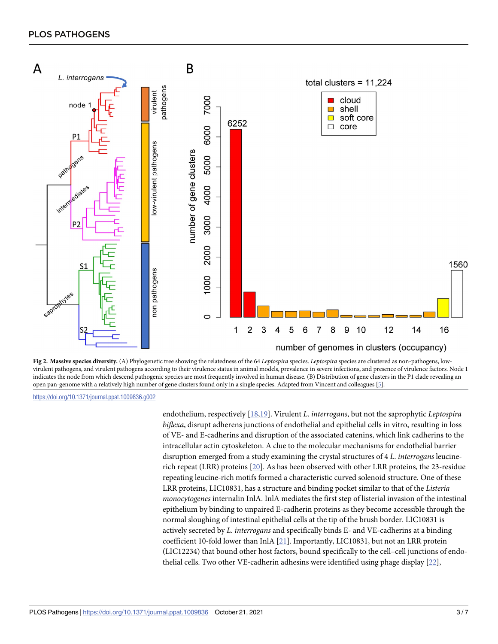

**Fig 2. Massive species diversity.** (A) Phylogenetic tree showing the relatedness of the 64 *Leptospira* species. *Leptospira* species are clustered as non-pathogens, lowvirulent pathogens, and virulent pathogens according to their virulence status in animal models, prevalence in severe infections, and presence of virulence factors. Node 1 indicates the node from which descend pathogenic species are most frequently involved in human disease. (B) Distribution of gene clusters in the P1 clade revealing an open pan-genome with a relatively high number of gene clusters found only in a single species. Adapted from Vincent and colleagues [5].

<https://doi.org/10.1371/journal.ppat.1009836.g002>

endothelium, respectively [18,19]. Virulent *L*. *interrogans*, but not the saprophytic *Leptospira biflexa*, disrupt adherens junctions of endothelial and epithelial cells in vitro, resulting in loss of VE- and E-cadherins and disruption of the associated catenins, which link cadherins to the intracellular actin cytoskeleton. A clue to the molecular mechanisms for endothelial barrier disruption emerged from a study examining the crystal structures of 4 *L*. *interrogans* leucinerich repeat (LRR) proteins [20]. As has been observed with other LRR proteins, the 23-residue repeating leucine-rich motifs formed a characteristic curved solenoid structure. One of these LRR proteins, LIC10831, has a structure and binding pocket similar to that of the *Listeria monocytogenes* internalin InlA. InlA mediates the first step of listerial invasion of the intestinal epithelium by binding to unpaired E-cadherin proteins as they become accessible through the normal sloughing of intestinal epithelial cells at the tip of the brush border. LIC10831 is actively secreted by *L*. *interrogans* and specifically binds E- and VE-cadherins at a binding coefficient 10-fold lower than InlA [21]. Importantly, LIC10831, but not an LRR protein (LIC12234) that bound other host factors, bound specifically to the cell–cell junctions of endothelial cells. Two other VE-cadherin adhesins were identified using phage display [22],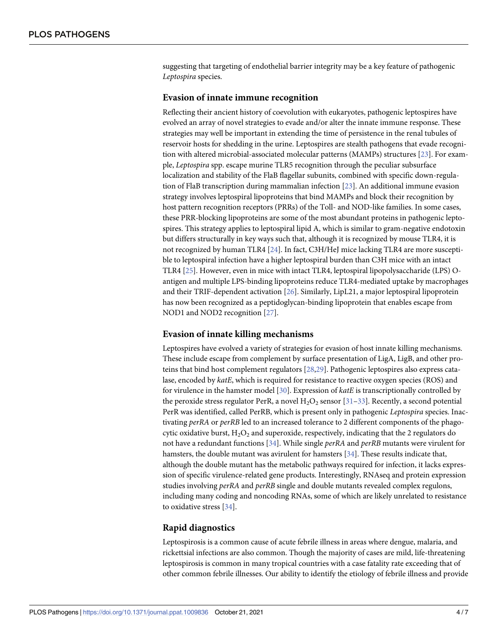suggesting that targeting of endothelial barrier integrity may be a key feature of pathogenic *Leptospira* species.

#### **Evasion of innate immune recognition**

Reflecting their ancient history of coevolution with eukaryotes, pathogenic leptospires have evolved an array of novel strategies to evade and/or alter the innate immune response. These strategies may well be important in extending the time of persistence in the renal tubules of reservoir hosts for shedding in the urine. Leptospires are stealth pathogens that evade recognition with altered microbial-associated molecular patterns (MAMPs) structures [23]. For example, *Leptospira* spp. escape murine TLR5 recognition through the peculiar subsurface localization and stability of the FlaB flagellar subunits, combined with specific down-regulation of FlaB transcription during mammalian infection [23]. An additional immune evasion strategy involves leptospiral lipoproteins that bind MAMPs and block their recognition by host pattern recognition receptors (PRRs) of the Toll- and NOD-like families. In some cases, these PRR-blocking lipoproteins are some of the most abundant proteins in pathogenic leptospires. This strategy applies to leptospiral lipid A, which is similar to gram-negative endotoxin but differs structurally in key ways such that, although it is recognized by mouse TLR4, it is not recognized by human TLR4 [24]. In fact, C3H/HeJ mice lacking TLR4 are more susceptible to leptospiral infection have a higher leptospiral burden than C3H mice with an intact TLR4 [25]. However, even in mice with intact TLR4, leptospiral lipopolysaccharide (LPS) Oantigen and multiple LPS-binding lipoproteins reduce TLR4-mediated uptake by macrophages and their TRIF-dependent activation [26]. Similarly, LipL21, a major leptospiral lipoprotein has now been recognized as a peptidoglycan-binding lipoprotein that enables escape from NOD1 and NOD2 recognition [27].

#### **Evasion of innate killing mechanisms**

Leptospires have evolved a variety of strategies for evasion of host innate killing mechanisms. These include escape from complement by surface presentation of LigA, LigB, and other proteins that bind host complement regulators [28,29]. Pathogenic leptospires also express catalase, encoded by *katE*, which is required for resistance to reactive oxygen species (ROS) and for virulence in the hamster model [30]. Expression of *katE* is transcriptionally controlled by the peroxide stress regulator PerR, a novel  $H_2O_2$  sensor [31–33]. Recently, a second potential PerR was identified, called PerRB, which is present only in pathogenic *Leptospira* species. Inactivating *perRA* or *perRB* led to an increased tolerance to 2 different components of the phagocytic oxidative burst,  $H_2O_2$  and superoxide, respectively, indicating that the 2 regulators do not have a redundant functions [34]. While single *perRA* and *perRB* mutants were virulent for hamsters, the double mutant was avirulent for hamsters [34]. These results indicate that, although the double mutant has the metabolic pathways required for infection, it lacks expression of specific virulence-related gene products. Interestingly, RNAseq and protein expression studies involving *perRA* and *perRB* single and double mutants revealed complex regulons, including many coding and noncoding RNAs, some of which are likely unrelated to resistance to oxidative stress [34].

#### **Rapid diagnostics**

Leptospirosis is a common cause of acute febrile illness in areas where dengue, malaria, and rickettsial infections are also common. Though the majority of cases are mild, life-threatening leptospirosis is common in many tropical countries with a case fatality rate exceeding that of other common febrile illnesses. Our ability to identify the etiology of febrile illness and provide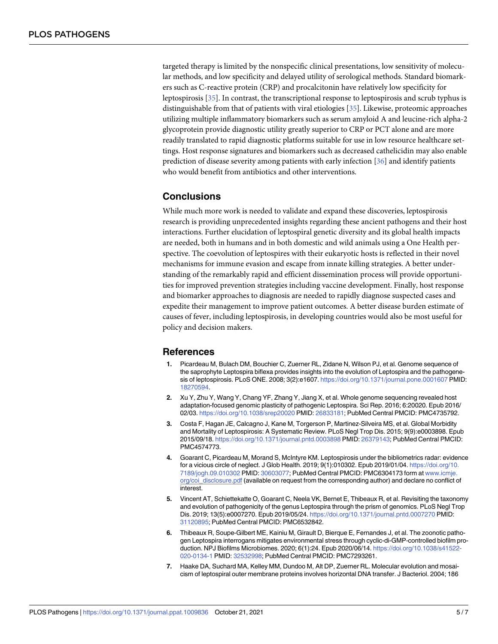targeted therapy is limited by the nonspecific clinical presentations, low sensitivity of molecular methods, and low specificity and delayed utility of serological methods. Standard biomarkers such as C-reactive protein (CRP) and procalcitonin have relatively low specificity for leptospirosis [35]. In contrast, the transcriptional response to leptospirosis and scrub typhus is distinguishable from that of patients with viral etiologies [35]. Likewise, proteomic approaches utilizing multiple inflammatory biomarkers such as serum amyloid A and leucine-rich alpha-2 glycoprotein provide diagnostic utility greatly superior to CRP or PCT alone and are more readily translated to rapid diagnostic platforms suitable for use in low resource healthcare settings. Host response signatures and biomarkers such as decreased cathelicidin may also enable prediction of disease severity among patients with early infection [36] and identify patients who would benefit from antibiotics and other interventions.

#### **Conclusions**

While much more work is needed to validate and expand these discoveries, leptospirosis research is providing unprecedented insights regarding these ancient pathogens and their host interactions. Further elucidation of leptospiral genetic diversity and its global health impacts are needed, both in humans and in both domestic and wild animals using a One Health perspective. The coevolution of leptospires with their eukaryotic hosts is reflected in their novel mechanisms for immune evasion and escape from innate killing strategies. A better understanding of the remarkably rapid and efficient dissemination process will provide opportunities for improved prevention strategies including vaccine development. Finally, host response and biomarker approaches to diagnosis are needed to rapidly diagnose suspected cases and expedite their management to improve patient outcomes. A better disease burden estimate of causes of fever, including leptospirosis, in developing countries would also be most useful for policy and decision makers.

#### **References**

- **1.** Picardeau M, Bulach DM, Bouchier C, Zuerner RL, Zidane N, Wilson PJ, et al. Genome sequence of the saprophyte Leptospira biflexa provides insights into the evolution of Leptospira and the pathogenesis of leptospirosis. PLoS ONE. 2008; 3(2):e1607. <https://doi.org/10.1371/journal.pone.0001607> PMID: [18270594](http://www.ncbi.nlm.nih.gov/pubmed/18270594).
- **2.** Xu Y, Zhu Y, Wang Y, Chang YF, Zhang Y, Jiang X, et al. Whole genome sequencing revealed host adaptation-focused genomic plasticity of pathogenic Leptospira. Sci Rep. 2016; 6:20020. Epub 2016/ 02/03. <https://doi.org/10.1038/srep20020> PMID: [26833181](http://www.ncbi.nlm.nih.gov/pubmed/26833181); PubMed Central PMCID: PMC4735792.
- **3.** Costa F, Hagan JE, Calcagno J, Kane M, Torgerson P, Martinez-Silveira MS, et al. Global Morbidity and Mortality of Leptospirosis: A Systematic Review. PLoS Negl Trop Dis. 2015; 9(9):e0003898. Epub 2015/09/18. <https://doi.org/10.1371/journal.pntd.0003898> PMID: [26379143](http://www.ncbi.nlm.nih.gov/pubmed/26379143); PubMed Central PMCID: PMC4574773.
- **4.** Goarant C, Picardeau M, Morand S, McIntyre KM. Leptospirosis under the bibliometrics radar: evidence for a vicious circle of neglect. J Glob Health. 2019; 9(1):010302. Epub 2019/01/04. [https://doi.org/10.](https://doi.org/10.7189/jogh.09.010302) [7189/jogh.09.010302](https://doi.org/10.7189/jogh.09.010302) PMID: [30603077;](http://www.ncbi.nlm.nih.gov/pubmed/30603077) PubMed Central PMCID: PMC6304173 form at [www.icmje.](http://www.icmje.org/coi_disclosure.pdf) [org/coi\\_disclosure.pdf](http://www.icmje.org/coi_disclosure.pdf) (available on request from the corresponding author) and declare no conflict of interest.
- **5.** Vincent AT, Schiettekatte O, Goarant C, Neela VK, Bernet E, Thibeaux R, et al. Revisiting the taxonomy and evolution of pathogenicity of the genus Leptospira through the prism of genomics. PLoS Negl Trop Dis. 2019; 13(5):e0007270. Epub 2019/05/24. <https://doi.org/10.1371/journal.pntd.0007270> PMID: [31120895](http://www.ncbi.nlm.nih.gov/pubmed/31120895); PubMed Central PMCID: PMC6532842.
- **6.** Thibeaux R, Soupe-Gilbert ME, Kainiu M, Girault D, Bierque E, Fernandes J, et al. The zoonotic pathogen Leptospira interrogans mitigates environmental stress through cyclic-di-GMP-controlled biofilm production. NPJ Biofilms Microbiomes. 2020; 6(1):24. Epub 2020/06/14. [https://doi.org/10.1038/s41522-](https://doi.org/10.1038/s41522-020-0134-1) [020-0134-1](https://doi.org/10.1038/s41522-020-0134-1) PMID: [32532998](http://www.ncbi.nlm.nih.gov/pubmed/32532998); PubMed Central PMCID: PMC7293261.
- **7.** Haake DA, Suchard MA, Kelley MM, Dundoo M, Alt DP, Zuerner RL. Molecular evolution and mosaicism of leptospiral outer membrane proteins involves horizontal DNA transfer. J Bacteriol. 2004; 186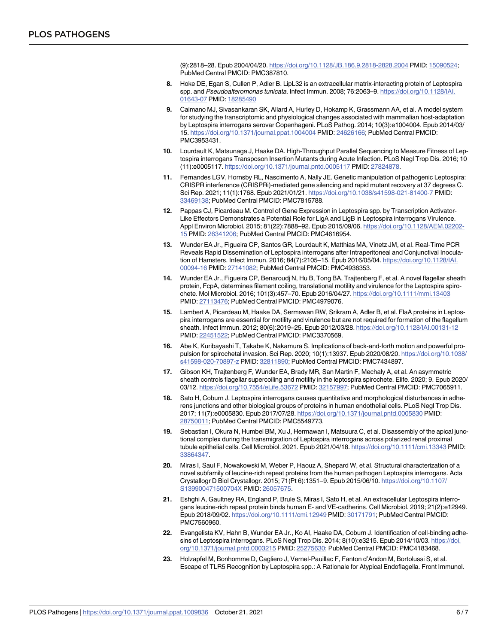(9):2818–28. Epub 2004/04/20. <https://doi.org/10.1128/JB.186.9.2818-2828.2004> PMID: [15090524;](http://www.ncbi.nlm.nih.gov/pubmed/15090524) PubMed Central PMCID: PMC387810.

- **8.** Hoke DE, Egan S, Cullen P, Adler B. LipL32 is an extracellular matrix-interacting protein of Leptospira spp. and Pseudoalteromonas tunicata. Infect Immun. 2008; 76:2063–9. [https://doi.org/10.1128/IAI.](https://doi.org/10.1128/IAI.01643-07) [01643-07](https://doi.org/10.1128/IAI.01643-07) PMID: [18285490](http://www.ncbi.nlm.nih.gov/pubmed/18285490)
- **9.** Caimano MJ, Sivasankaran SK, Allard A, Hurley D, Hokamp K, Grassmann AA, et al. A model system for studying the transcriptomic and physiological changes associated with mammalian host-adaptation by Leptospira interrogans serovar Copenhageni. PLoS Pathog. 2014; 10(3):e1004004. Epub 2014/03/ 15. <https://doi.org/10.1371/journal.ppat.1004004> PMID: [24626166;](http://www.ncbi.nlm.nih.gov/pubmed/24626166) PubMed Central PMCID: PMC3953431.
- **10.** Lourdault K, Matsunaga J, Haake DA. High-Throughput Parallel Sequencing to Measure Fitness of Leptospira interrogans Transposon Insertion Mutants during Acute Infection. PLoS Negl Trop Dis. 2016; 10 (11):e0005117. <https://doi.org/10.1371/journal.pntd.0005117> PMID: [27824878](http://www.ncbi.nlm.nih.gov/pubmed/27824878).
- **11.** Fernandes LGV, Hornsby RL, Nascimento A, Nally JE. Genetic manipulation of pathogenic Leptospira: CRISPR interference (CRISPRi)-mediated gene silencing and rapid mutant recovery at 37 degrees C. Sci Rep. 2021; 11(1):1768. Epub 2021/01/21. <https://doi.org/10.1038/s41598-021-81400-7> PMID: [33469138](http://www.ncbi.nlm.nih.gov/pubmed/33469138); PubMed Central PMCID: PMC7815788.
- **12.** Pappas CJ, Picardeau M. Control of Gene Expression in Leptospira spp. by Transcription Activator-Like Effectors Demonstrates a Potential Role for LigA and LigB in Leptospira interrogans Virulence. Appl Environ Microbiol. 2015; 81(22):7888–92. Epub 2015/09/06. [https://doi.org/10.1128/AEM.02202-](https://doi.org/10.1128/AEM.02202-15) [15](https://doi.org/10.1128/AEM.02202-15) PMID: [26341206;](http://www.ncbi.nlm.nih.gov/pubmed/26341206) PubMed Central PMCID: PMC4616954.
- **13.** Wunder EA Jr., Figueira CP, Santos GR, Lourdault K, Matthias MA, Vinetz JM, et al. Real-Time PCR Reveals Rapid Dissemination of Leptospira interrogans after Intraperitoneal and Conjunctival Inoculation of Hamsters. Infect Immun. 2016; 84(7):2105–15. Epub 2016/05/04. [https://doi.org/10.1128/IAI.](https://doi.org/10.1128/IAI.00094-16) [00094-16](https://doi.org/10.1128/IAI.00094-16) PMID: [27141082](http://www.ncbi.nlm.nih.gov/pubmed/27141082); PubMed Central PMCID: PMC4936353.
- **14.** Wunder EA Jr., Figueira CP, Benaroudj N, Hu B, Tong BA, Trajtenberg F, et al. A novel flagellar sheath protein, FcpA, determines filament coiling, translational motility and virulence for the Leptospira spirochete. Mol Microbiol. 2016; 101(3):457–70. Epub 2016/04/27. <https://doi.org/10.1111/mmi.13403> PMID: [27113476](http://www.ncbi.nlm.nih.gov/pubmed/27113476); PubMed Central PMCID: PMC4979076.
- **15.** Lambert A, Picardeau M, Haake DA, Sermswan RW, Srikram A, Adler B, et al. FlaA proteins in Leptospira interrogans are essential for motility and virulence but are not required for formation of the flagellum sheath. Infect Immun. 2012; 80(6):2019–25. Epub 2012/03/28. <https://doi.org/10.1128/IAI.00131-12> PMID: [22451522](http://www.ncbi.nlm.nih.gov/pubmed/22451522); PubMed Central PMCID: PMC3370569.
- **16.** Abe K, Kuribayashi T, Takabe K, Nakamura S. Implications of back-and-forth motion and powerful propulsion for spirochetal invasion. Sci Rep. 2020; 10(1):13937. Epub 2020/08/20. [https://doi.org/10.1038/](https://doi.org/10.1038/s41598-020-70897-z) [s41598-020-70897-z](https://doi.org/10.1038/s41598-020-70897-z) PMID: [32811890](http://www.ncbi.nlm.nih.gov/pubmed/32811890); PubMed Central PMCID: PMC7434897.
- **17.** Gibson KH, Trajtenberg F, Wunder EA, Brady MR, San Martin F, Mechaly A, et al. An asymmetric sheath controls flagellar supercoiling and motility in the leptospira spirochete. Elife. 2020; 9. Epub 2020/ 03/12. <https://doi.org/10.7554/eLife.53672> PMID: [32157997;](http://www.ncbi.nlm.nih.gov/pubmed/32157997) PubMed Central PMCID: PMC7065911.
- **18.** Sato H, Coburn J. Leptospira interrogans causes quantitative and morphological disturbances in adherens junctions and other biological groups of proteins in human endothelial cells. PLoS Negl Trop Dis. 2017; 11(7):e0005830. Epub 2017/07/28. <https://doi.org/10.1371/journal.pntd.0005830> PMID: [28750011](http://www.ncbi.nlm.nih.gov/pubmed/28750011); PubMed Central PMCID: PMC5549773.
- **19.** Sebastian I, Okura N, Humbel BM, Xu J, Hermawan I, Matsuura C, et al. Disassembly of the apical junctional complex during the transmigration of Leptospira interrogans across polarized renal proximal tubule epithelial cells. Cell Microbiol. 2021. Epub 2021/04/18. <https://doi.org/10.1111/cmi.13343> PMID: [33864347](http://www.ncbi.nlm.nih.gov/pubmed/33864347).
- **20.** Miras I, Saul F, Nowakowski M, Weber P, Haouz A, Shepard W, et al. Structural characterization of a novel subfamily of leucine-rich repeat proteins from the human pathogen Leptospira interrogans. Acta Crystallogr D Biol Crystallogr. 2015; 71(Pt 6):1351–9. Epub 2015/06/10. [https://doi.org/10.1107/](https://doi.org/10.1107/S139900471500704X) [S139900471500704X](https://doi.org/10.1107/S139900471500704X) PMID: [26057675.](http://www.ncbi.nlm.nih.gov/pubmed/26057675)
- **21.** Eshghi A, Gaultney RA, England P, Brule S, Miras I, Sato H, et al. An extracellular Leptospira interrogans leucine-rich repeat protein binds human E- and VE-cadherins. Cell Microbiol. 2019; 21(2):e12949. Epub 2018/09/02. <https://doi.org/10.1111/cmi.12949> PMID: [30171791](http://www.ncbi.nlm.nih.gov/pubmed/30171791); PubMed Central PMCID: PMC7560960.
- **22.** Evangelista KV, Hahn B, Wunder EA Jr., Ko AI, Haake DA, Coburn J. Identification of cell-binding adhesins of Leptospira interrogans. PLoS Negl Trop Dis. 2014; 8(10):e3215. Epub 2014/10/03. [https://doi.](https://doi.org/10.1371/journal.pntd.0003215) [org/10.1371/journal.pntd.0003215](https://doi.org/10.1371/journal.pntd.0003215) PMID: [25275630;](http://www.ncbi.nlm.nih.gov/pubmed/25275630) PubMed Central PMCID: PMC4183468.
- **23.** Holzapfel M, Bonhomme D, Cagliero J, Vernel-Pauillac F, Fanton d'Andon M, Bortolussi S, et al. Escape of TLR5 Recognition by Leptospira spp.: A Rationale for Atypical Endoflagella. Front Immunol.